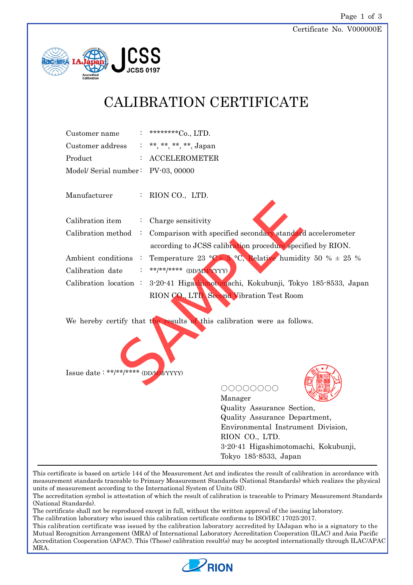

## CALIBRATION CERTIFICATE

| Customer name                      |  | : *********Co., LTD.    |
|------------------------------------|--|-------------------------|
| Customer address                   |  | : **, **, **, **, Japan |
| Product                            |  | $:$ ACCELEROMETER       |
| Model/ Serial number: PV-03, 00000 |  |                         |

Manufacturer : RION CO., LTD.

| Calibration item                    | $\mathbb{Z}^{\mathbb{Z}}$ | Charge sensitivity                                                                |
|-------------------------------------|---------------------------|-----------------------------------------------------------------------------------|
| Calibration method                  | $\sim$                    | Comparison with specified secondary standard accelerometer                        |
|                                     |                           | according to JCSS calibration procedure specified by RION.                        |
| Ambient conditions                  |                           | Temperature 23 °C + 5 °C, Relative humidity 50 % $\pm$ 25 %                       |
| Calibration date                    |                           | : **/**/***** (DD/MM/YYYY)                                                        |
|                                     |                           | Calibration location : 3-20-41 Higash motomachi, Kokubunji, Tokyo 185-8533, Japan |
|                                     |                           | RION CO., LTD. Second Vibration Test Room                                         |
|                                     |                           | We hereby certify that the results of this calibration were as follows.           |
| Issue date: **/**/**** (DD/MM/YYYY) |                           |                                                                                   |



○○○○○○○○



Manager Quality Assurance Section, Quality Assurance Department, Environmental Instrument Division, RION CO., LTD. 3-20-41 Higashimotomachi, Kokubunji, Tokyo 185-8533, Japan

This certificate is based on article 144 of the Measurement Act and indicates the result of calibration in accordance with measurement standards traceable to Primary Measurement Standards (National Standards) which realizes the physical units of measurement according to the International System of Units (SI).

The accreditation symbol is attestation of which the result of calibration is traceable to Primary Measurement Standards (National Standards).

The certificate shall not be reproduced except in full, without the written approval of the issuing laboratory.

The calibration laboratory who issued this calibration certificate conforms to ISO/IEC 17025:2017.

This calibration certificate was issued by the calibration laboratory accredited by IAJapan who is a signatory to the Mutual Recognition Arrangement (MRA) of International Laboratory Accreditation Cooperation (ILAC) and Asia Pacific Accreditation Cooperation (APAC). This (These) calibration result(s) may be accepted internationally through ILAC/APAC MRA.

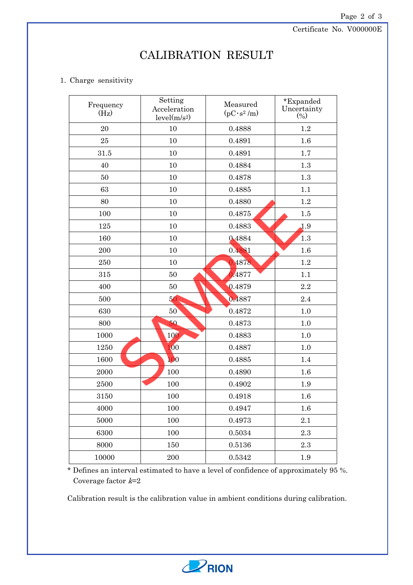Certificate No. V000000E

## CALIBRATION RESULT

## 1. Charge sensitivity

| Frequency<br>(Hz) | Setting<br>Acceleration<br>level(m/s <sup>2</sup> ) | Measured<br>$(pC \cdot s^2/m)$ | *Expanded<br>Uncertainty<br>$(\%)$ |
|-------------------|-----------------------------------------------------|--------------------------------|------------------------------------|
| 20                | 10                                                  | 0.4888                         | 1.2                                |
| 25                | 10                                                  | 0.4891                         | 1.6                                |
| 31.5              | 10                                                  | 0.4891                         | 1.7                                |
| 40                | 10                                                  | 0.4884                         | 1.3                                |
| 50                | 10                                                  | 0.4878                         | 1.3                                |
| 63                | 10                                                  | 0.4885                         | 1.1                                |
| 80                | 10                                                  | 0.4880                         | 1.2                                |
| 100               | 10                                                  | 0.4875                         | 1.5                                |
| 125               | 10                                                  | 0.4883                         | 1.9                                |
| 160               | 10                                                  | 0.4884                         | 1.3                                |
| 200               | 10                                                  | 0.4881                         | $1.6\,$                            |
| 250               | 10                                                  | 0.4878                         | 1.2                                |
| 315               | 50                                                  | 0.4877                         | 1.1                                |
| 400               | 50                                                  | 0.4879                         | 2.2                                |
| 500               | 50                                                  | 4887                           | 2.4                                |
| 630               | 50 <sup>°</sup>                                     | 0.4872                         | 1.0                                |
| 800               | 50                                                  | 0.4873                         | 1.0                                |
| 1000              | 100                                                 | 0.4883                         | $1.0\,$                            |
| 1250              | 100                                                 | 0.4887                         | 1.0                                |
| 1600              | 100                                                 | 0.4885                         | 1.4                                |
| 2000              | 100                                                 | 0.4890                         | $1.6\,$                            |
| 2500              | 100                                                 | 0.4902                         | 1.9                                |
| 3150              | 100                                                 | 0.4918                         | 1.6                                |
| 4000              | 100                                                 | 0.4947                         | 1.6                                |
| 5000              | 100                                                 | 0.4973                         | 2.1                                |
| 6300              | 100                                                 | 0.5034                         | 2.3                                |
| 8000              | 150                                                 | 0.5136                         | 2.3                                |
| 10000             | 200                                                 | 0.5342                         | 1.9                                |

\* Defines an interval estimated to have a level of confidence of approximately 95 %. Coverage factor  $k=2$ 

Calibration result is the calibration value in ambient conditions during calibration.